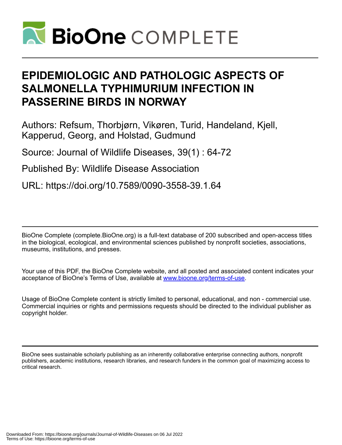

# **EPIDEMIOLOGIC AND PATHOLOGIC ASPECTS OF SALMONELLA TYPHIMURIUM INFECTION IN PASSERINE BIRDS IN NORWAY**

Authors: Refsum, Thorbjørn, Vikøren, Turid, Handeland, Kjell, Kapperud, Georg, and Holstad, Gudmund

Source: Journal of Wildlife Diseases, 39(1) : 64-72

Published By: Wildlife Disease Association

URL: https://doi.org/10.7589/0090-3558-39.1.64

BioOne Complete (complete.BioOne.org) is a full-text database of 200 subscribed and open-access titles in the biological, ecological, and environmental sciences published by nonprofit societies, associations, museums, institutions, and presses.

Your use of this PDF, the BioOne Complete website, and all posted and associated content indicates your acceptance of BioOne's Terms of Use, available at www.bioone.org/terms-of-use.

Usage of BioOne Complete content is strictly limited to personal, educational, and non - commercial use. Commercial inquiries or rights and permissions requests should be directed to the individual publisher as copyright holder.

BioOne sees sustainable scholarly publishing as an inherently collaborative enterprise connecting authors, nonprofit publishers, academic institutions, research libraries, and research funders in the common goal of maximizing access to critical research.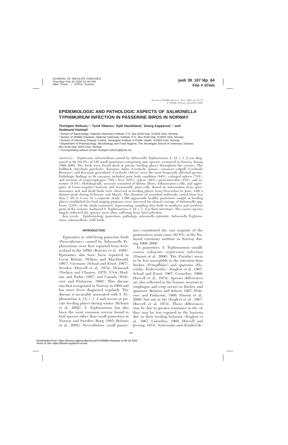# **EPIDEMIOLOGIC AND PATHOLOGIC ASPECTS OF SALMONELLA TYPHIMURIUM INFECTION IN PASSERINE BIRDS IN NORWAY**

**Thorbjørn Refsum,**1,5 **Turid Vikøren,**<sup>2</sup> **Kjell Handeland,**<sup>2</sup> **Georg Kapperud,**3,4 **and Gudmund Holstad**<sup>1</sup>

<sup>1</sup> Section of Bacteriology, National Veterinary Institute, P.O. Box 8156 Dep, N-0033 Oslo, Norway

<sup>2</sup> Section of Wildlife Diseases, National Veterinary Institute, P.O. Box 8156 Dep, N-0033 Oslo, Norway

<sup>3</sup> Division of Infectious Disease Control, Norwegian Institute of Public Health, N-0403 Oslo, Norway

<sup>4</sup> Department of Pharmacology, Microbiology and Food Hygiene, The Norwegian School of Veterinary Science,

<sup>5</sup> Corresponding authors (email: thorbjorn.refsum@fjorfe.no)

ABSTRACT: Septicemic salmonellosis caused by *Salmonella* Typhimurium 4, 12: i : 1, 2 was diagnosed in 94 (64.8%) of 145 small passerines comprising nine species, examined in Norway during 1999–2000. The birds were found dead at private feeding places throughout the country. The bullfinch (*Pyrrhula pyrrhula*), Eurasian siskin (*Carduelis spinus*), common redpoll (*Carduelis flammea*), and Eurasian greenfinch (*Carduelis chloris*) were the most frequently affected species. Pathologic findings in 94 carcasses included poor body condition (84%), enlarged spleen (73%), and necrosis of crop/esophagus (78%), liver (53%), spleen (46%), proventriculus (13%), and intestine (5.3%). Histologically, necrosis consisted of debris, fibrin, inflammatory cells, and aggregates of Gram-negative bacteria and occasionally giant cells. Based on information from questionnaires sick and dead birds were observed at feeding places from December to June, with a distinct peak during February and March. The duration of recorded outbreaks varied from less than 1 wk to 4 mo. In a separate study, 1,990 apparently healthy passerines caught at feeding places established for bird-ringing purposes were surveyed for cloacal carriage of *Salmonella* spp. Forty (2.0%) of the birds examined, representing sampling sites both in southern and northern parts of the country, harbored *S.* Typhimurium 4, 12: i : 1, 2 in their intestines. The carrier species largely reflected the species most often suffering from fatal infection.

*Key words:* Epidemiology, passerines, pathology, salmonella epizootic, *Salmonella* Typhimurium, salmonellosis, wild birds.

#### **INTRODUCTION**

Epizootics in wild-living passerine birds (*Passeriformes*) caused by *Salmonella* Typhimurium were first reported from Switzerland in the 1950s (Bouvier et al., 1955). Epizootics also have been reported in Great Britain (Wilson and MacDonald, 1967), Germany (Schaal and Ernst, 1967), Sweden (Hurvell et al., 1974), Denmark (Nielsen and Clausen, 1975), USA (Hudson and Tudor, 1957) and Canada (Wobeser and Finlayson, 1969). This disease was first recognized in Norway in 1969 and has since been diagnosed regularly. The disease is invariably associated with *S.* Typhimurium 4,  $12: i: 1, 2$  and occurs at private feeding places during winter (Refsum et al., 2002). *S.* Typhimurium has also been the most common serovar found in bird species other than small passerines in Norway and Sweden (Borg, 1985; Refsum et al., 2002). Nevertheless, small passerines constituted the vast majority of the postmortem avian cases (93.8%) at the National veterinary institute in Norway during 1969–2000.

In passerines, *S.* Typhimurium usually causes subacute septicemic infection (Daoust et al., 2000). Tits (*Paridae*) seem to be less susceptible to the infection than finches (*Fringillidae*) and sparrows (*Ploceidae, Emberizidae*) (Englert et al., 1967; Schaal and Ernst, 1967; Cornelius, 1969; Hurvell et al., 1974). Species differences are also reflected in the lesions; necrosis in esophagus and crop occurs in finches and sparrows (Kösters and Scheer, 1967; Wobeser and Finlayson, 1969; Daoust et al., 2000) but not in tits (Englert et al., 1967; Hurvell et al. 1974). These differences may be due to greater resistance in tits, or they may be less exposed to the bacteria due to their feeding behavior (Englert et al., 1967; Cornelius, 1969; Hurvell and Jevring, 1974). Systematic and detailed de-

Box 8146 Dep, 0033 Oslo, Norway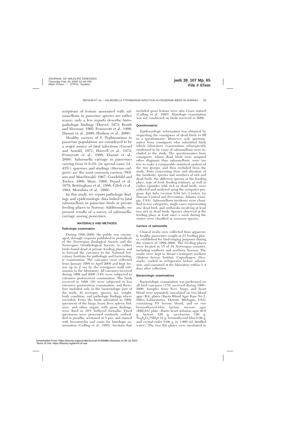scriptions of lesions associated with salmonellosis in passerine species are rather scarce; only a few reports describe histopathologic findings (Hurvel, 1973; Routh and Sleeman, 1995; Pennycott et al., 1998; Daoust et al., 2000; Hudson et al., 2000).

Healthy carriers of *S.* Typhimurium in passerine populations are considered to be a major source of fatal infections (Greuel and Arnold, 1971; Hurvell et al., 1974; Pennycott et al., 1998; Daoust et al., 2000). Salmonella carriage in passerines varying from 0–8.3% (in special cases 14– 43%); sparrows and starlings (*Sturnus vulgaris*) are the most common carriers (Wilson and MacDonald, 1967; Goodchild and Tucker, 1968; Marx, 1969; Tizard et al., 1979; Brittingham et al., 1988; Čížek et al., 1994; Morishita et al., 1999).

In this study, we report pathologic findings and epidemiologic data linked to fatal salmonellosis in passerine birds at private feeding places in Norway. Additionally, we present results of a survey of salmonellacarriage among passerines.

### **MATERIALS AND METHODS**

#### **Pathologic examination**

During 1998–2000, the public was encouraged, through requests published in periodicals of the Norwegian Zoological Society and the Norwegian Ornithological Society, to collect birds found dead at private feeding places, and to forward the carcasses to the National Veterinary Institute for pathologic and bacteriologic examination. The carcasses were collected from January 1998 to April 2000 and kept frozen up to 2 mo by the consignors until submission to the laboratory. All carcasses received during 1999 and 2000 (145) were subjected to extensive postmortem examination. The birds received in 1998 (34) were subjected to less extensive postmortem examination, and therefore included only in the bacteriologic part of the study. At necropsy, species, sex, weight, body condition, and pathologic findings where recorded. From the birds submitted in 1999, specimens of the lungs, heart, liver, spleen, kidneys, and other organs with gross findings, were fixed in 10% buffered formalin. Fixed specimens were processed routinely, embedded in paraffin, sectioned at  $5 \mu m$ , and stained with hematoxylin and eosin for histologic examination (Culling et al., 1985). Sections that

included gross lesions were also Gram stained (Culling et al., 1985). Histologic examination was not conducted on birds received in 2000.

#### **Questionnaires**

Epidemiologic information was obtained by requesting the consignors of dead birds to fill in a questionnaire. However, only questionnaires from consignors who submitted birds which laboratory examination subsequently confirmed to be cases of salmonellosis were included in the study. The questionnaires from consignors, whose dead birds were assigned other diagnosis than salmonellosis, were too few to make a comparable statistical analysis of the two groups, and thus excluded from the study. Data concerning time and duration of the incidents, species and numbers of sick and dead birds, the different species at the feeding place, type of feed, feeding routines, as well as earlier episodes with sick or dead birds, were collected and analyzed using the computer program Epi Info (version 6.04 b/c, Centers for Disease Control and Prevention, Atlanta, Georgia, USA). Salmonellosis incidents were classified in two categories; single cases representing one dead bird, and outbreaks involving at least two sick or dead birds. Species observed at the feeding place at least once a week during the winter were classified as common species.

#### **Carriers of salmonella**

Cloacal swabs were collected from apparently healthy passerines caught at 21 feeding places established for bird-ringing purposes during the winters of 1998–2000. The feeding places were located in 15 of 19 Norwegian counties, including southern and northern Norway. The swabs were kept in Stuart's transport medium (Statens Serum Institut, Copenhagen, Denmark), cooled in refrigerator before submission, and examined at the laboratory within 3–4 days after collection.

#### **Bacteriologic examinations**

Bacteriologic examination was performed on all bird carcasses (179) received during 1998– 2000. Samples from liver, lungs, and heart blood were separately inoculated on two blood agar (BA) plates (Bacto Blood Agar Base No 2, Difco Laboratories, Detroit, Michigan, USA) containing 5% bovine blood, and on one bromothymol-blue lactose sucrose agar (BBLSA) plate (Bacto heart infusion agar 40.0 g, lactose 120 g, saccharose 120 g,  $Na<sub>2</sub>S<sub>2</sub>O<sub>3</sub>*5H<sub>2</sub>0 12 g, bromothymol-blue 0.96 g,$ and crystal-violet 0.06 g in 1,000 ml distilled water). The two BA plates were incubated in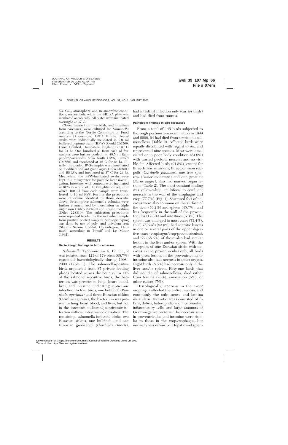$5\%$  CO<sub>2</sub> atmosphere and in anaerobic conditions, respectively, while the BBLSA plate was incubated aerobically. All plates were incubated overnight at 37 C.

Cloacal swabs from live birds, and intestines from carcasses, were cultured for *Salmonella* according to the Nordic Committee on Food Analysis (Anonymous, 1991). Briefly, cloacal swabs were individually incubated in 9.9 ml buffered peptone water (BPW) (Oxoid CM509, Oxoid Limited, Hampshire, England) at 37 C for 24 hr. One hundred  $\mu$ l from each of five samples were further pooled into 49.5 ml Rappaport-Vassiliadis Soya broth (RVS) (Oxoid CM866) and incubated at 42 C for 24 hr. Finally, the pooled RVS-samples were inoculated on modified brilliant green agar (Difco 218801) and BBLSA and incubated at 37 C for 24 hr. Meanwhile, the BPW-incubated swabs were kept in a refrigerator for possible later investigation. Intestines with contents were incubated in BPW in a ratio of 1:10 (weight/volume), after which 100  $\mu$  from each sample were transferred to 10 ml RVS. Further the procedures were otherwise identical to those describe above. Presumptive salmonella colonies were further characterized by inoculation on triple sugar iron (Difco 226540) and urease medium (Difco 228310). The cultivation procedures were repeated to identify the individual sample from positive pooled samples. Serologic typing was done by use of poly- and univalent sera (Statens Serum Institut, Copenhagen, Denmark) according to Popoff and Le Minor (1992).

# **RESULTS**

# **Bacteriologic findings in bird carcasses**

*Salmonella* Typhimurium 4, 12: i : 1, 2 was isolated from 123 of 179 birds (68.7%) examined bacteriologically during 1998– 2000 (Table 1). The salmonella-positive birds originated from 87 private feeding places located across the country. In 115 of the salmonella-positive birds, the bacterium was present in lung, heart blood, liver, and intestine, indicating septicemic infection. In four birds, one bullfinch (*Pyrrhula pyrrhula*) and three Eurasian siskins (*Carduelis spinus*), the bacterium was present in lung, heart blood, and liver, but not in the intestine, indicating septicemic infection without intestinal colonization. The remaining salmonella-infected birds; two Eurasian siskins, one bullfinch, and one Eurasian greenfinch (*Carduelis chloris*),

had intestinal infection only (carrier birds) and had died from trauma.

# **Pathologic findings in bird carcasses**

From a total of 145 birds subjected to thorough postmortem examination in 1999 and 2000, 94 had died from septicemic salmonellosis (Table 2). Affected birds were equally distributed with regard to sex, and represented nine species. Most were emaciated or in poor body condition (84.0%) with wasted pectoral muscles and no visible fat. Affected birds (91.5%), except for three Eurasian siskins, three common redpolls (*Carduelis flammea*), one tree sparrow (*Passer montanus*) and one great tit (*Parus major*), also had marked organ lesions (Table 2). The most constant finding was yellow-white, multifocal to confluent necrosis in the wall of the esophagus and crop (77.7%) (Fig. 1). Scattered foci of necrosis were also common on the surface of the liver (53.2%) and spleen (45.7%), and less frequently in the wall of the proventriculus (12.8%) and intestines (5.3%). The spleen was enlarged in most cases (73.4%). In all 78 birds (83.0%) had necrotic lesions in one or several parts of the upper digestive tract (esophagus/crop/proventriculus), and 55 (58.5%) of these also had similar lesions in the liver and/or spleen. With the exception of one Eurasian siskin with necrosis in the proventriculus only, all birds with gross lesions in the proventriculus or intestine also had necrosis in other organs. Eight birds (8.5%) had necrosis only in the liver and/or spleen. Fifty-one birds that did not die of salmonellosis, died either from trauma (23%), emaciation (5%), or other causes (7%).

Histologically, necrosis in the crop/ esophagus affected the entire mucosa, and commonly the submucosa and lamina muscularis. Necrotic areas consisted of fibrin, debris, heterophilic and mononuclear inflammatory cells, and large amounts of Gram-negative bacteria. The necrosis seen in proventriculus and intestine were similar to those in the crop/esophagus, but normally less extensive. Hepatic and splen-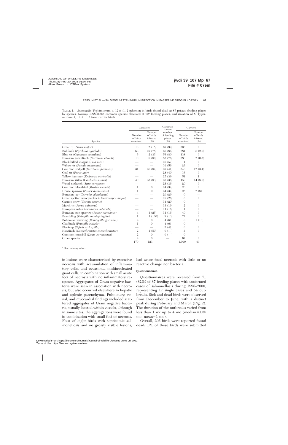TABLE 1. *Salmonella* Typhimurium 4, 12 : i : 1, 2-infection in birds found dead at 87 private feeding places by species, Norway 1998–2000, common species observed at 70a feeding places, and isolation of *S.* Typhimurium 4,  $12$ :  $i$ :  $1$ ,  $2$  from carrier birds.

|                                                  | Carcasses                      |                                          | Common<br>species                        | Carriers                       |                                          |
|--------------------------------------------------|--------------------------------|------------------------------------------|------------------------------------------|--------------------------------|------------------------------------------|
| Species                                          | Number<br>of birds<br>examined | Number<br>of birds<br>infected<br>$(\%)$ | number<br>of feeding<br>places<br>$(\%)$ | Number<br>of birds<br>examined | Number<br>of birds<br>infected<br>$(\%)$ |
| Great tit (Parus major)                          | 13                             | 2(15)                                    | 69 (99)                                  | 303                            | $\Omega$                                 |
| Bullfinch (Pyrrhula pyrrhula)                    | 63                             | 49 (78)                                  | 60(86)                                   | 281                            | 8(2.8)                                   |
| Blue tit (Cyanistes caeruleus)                   | 6                              | 2(33)                                    | 56 (80)                                  | 138                            | $\theta$                                 |
| Eurasian greenfinch (Carduelis chloris)          | 10                             | 8(80)                                    | 53 (76)                                  | 380                            | 2(0.5)                                   |
| Black-billed magpie (Pica pica)                  |                                |                                          | 40(57)                                   | 1                              | $\theta$                                 |
| Willow tit (Poecile montanus)                    |                                |                                          | 39(56)                                   | 26                             | $\theta$                                 |
| Common redpoll (Carduelis flammea)               | 31                             | 26(84)                                   | 29(41)                                   | 348                            | 12(3.4)                                  |
| Coal tit (Parus ater)                            |                                |                                          | 28(40)                                   | 16                             | 0                                        |
| Yellow hammer ( <i>Emberiza citrinella</i> )     |                                |                                          | 27 (39)                                  | 51                             | 1                                        |
| Eurasian siskin (Carduelis spinus)               | 40                             | 33 (83)                                  | 25(36)                                   | 159                            | 14(8.8)                                  |
| Wood nuthatch (Sitta europaea)                   |                                |                                          | 25(36)                                   | 20                             | $\Omega$                                 |
| Common blackbird (Turdus merula)                 | $\mathbf{1}$                   | $\Omega$                                 | 24 (34)                                  | 26                             | $\Omega$                                 |
| House sparrow (Passer domesticus)                | 1                              | $\theta$                                 | 24 (34)                                  | 25                             | 2(8)                                     |
| Eurasian jay (Garrulus glandarius)               |                                |                                          | 20(29)                                   | $\theta$                       |                                          |
| Great spotted woodpecker (Dendrocopos major)     |                                |                                          | 18(26)                                   | 3                              | $\theta$                                 |
| Carrion crow (Corvus corone)                     |                                |                                          | 14(20)                                   | $\Omega$                       |                                          |
| Marsh tit (Parus palustris)                      |                                |                                          | 13(19)                                   | $\overline{2}$                 | $\Omega$                                 |
| European robin (Erithacus rubecula)              |                                |                                          | 11(16)                                   | 11                             | $\Omega$                                 |
| Eurasian tree sparrow ( <i>Passer montanus</i> ) | $\overline{4}$                 | 1(25)                                    | 11(16)                                   | 40                             | $\theta$                                 |
| Brambling (Fringilla montefringilla)             | 1                              | 1(100)                                   | 9(13)                                    | 77                             | $\Omega$                                 |
| Bohemian waxwing (Bombycilla garrulus)           | $\overline{2}$                 | $\theta$                                 | 4(6)                                     | 8                              | 1(13)                                    |
| Chaffinch (Fringilla coelebs)                    | 1                              | $\theta$                                 | 4(6)                                     | $\theta$                       |                                          |
| Blackcap (Sylvia atricapilla)                    |                                |                                          | 3(4)                                     | 3                              | $\theta$                                 |
| Hawfinch (Coccothraustes coccothraustes)         | $\mathfrak{2}$                 | 1(50)                                    | $() (- )$                                | 5                              | $\Omega$                                 |
| Common crossbill (Loxia curvirostra)             | $\overline{2}$                 | $\theta$                                 | $0(-$                                    | $\Omega$                       |                                          |
| Other species                                    | $\overline{2}$                 | $\Omega$                                 |                                          | 67                             | $\theta$                                 |
|                                                  | 179                            | 123                                      |                                          | 1,990                          | 40                                       |

<sup>a</sup> One missing value.

ic lesions were characterized by extensive necrosis with accumulation of inflammatory cells, and occasional multinucleated giant cells, in combination with small acute foci of necrosis with no inflammatory response. Aggregates of Gram-negative bacteria were seen in association with necrosis, but also occurred elsewhere in hepatic and splenic parenchyma. Pulmonary, renal, and myocardial findings included scattered aggregates of Gram negative bacteria, usually located within vessels, although in some sites, the aggregations were found in combination with small foci of necrosis. Four of eight birds with septicemic salmonellosis and no grossly visible lesions,

had acute focal necrosis with little or no reactive change nor bacteria.

#### **Questionnaires**

Questionnaires were received from 71 (82%) of 87 feeding places with confirmed cases of salmonellosis during 1998–2000, representing 17 single cases and 54 outbreaks. Sick and dead birds were observed from December to June, with a distinct peak during February and March (Fig. 2). The duration of the outbreaks varied from less than 1 wk up to 4 mo (median= $1.35$ ) mo, mean= $1 \text{ mo}$ ).

Overall, 205 birds were reported found dead; 121 of these birds were submitted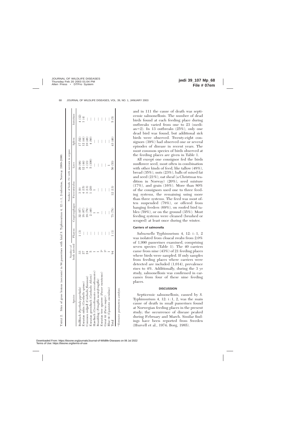|                                              | Number of      |                          |                                       | Number of birds (%) with necrosis in organs |                                       |                                       |                 |
|----------------------------------------------|----------------|--------------------------|---------------------------------------|---------------------------------------------|---------------------------------------|---------------------------------------|-----------------|
| Species                                      | birds infected |                          | Pharynx Crop/esophagus Proventriculus |                                             | Liver                                 | Spleen                                | Intestines      |
| Bullfinch (Pyrrhula pyrrhula)                | 33             | <u>ි</u>                 | 32 (97                                | 3(9)                                        | 29 (88)                               | 17 (52)                               |                 |
| Zurasian siskin (Carduelis spinus)           | 27             | $\bigg\vert$             | 18 (67)                               | (15)                                        | 12(44)                                | 12(44)                                | $4(12)$<br>1(4) |
| Common redpoll (Carduelis flammea)           | $\mathbb{Z}$   | I                        | 19(79)                                | 3(13)                                       | $3\ (13)$                             | 10(48)                                |                 |
| Eurasian greenfinch (Carduelis chloris)      |                | $\overline{\phantom{a}}$ | 2(40)                                 | (20)                                        | 5(100)                                | 4(80)                                 |                 |
| Hawfinch (Coccothraustes coccothraustes)     |                |                          |                                       |                                             |                                       | $\overline{\phantom{a}}$              |                 |
| Brambling (Fringilla montefringilla)         |                | $\bigg $                 |                                       | $\begin{array}{c} \hline \end{array}$       | $\overline{\phantom{a}}$              | $\begin{array}{c} \hline \end{array}$ |                 |
| Eurasian tree sparrow (Passer montanus)      |                | $\bigg $                 |                                       | $\overline{\phantom{a}}$                    | $\begin{array}{c} \hline \end{array}$ | $\begin{array}{c} \hline \end{array}$ | I               |
| Great tit (Parus major)                      | $\mathbf{u}$   | $\overline{\phantom{a}}$ | I                                     | I                                           |                                       | $\overline{\phantom{a}}$              |                 |
| Blue tit (Cyanistes caeruleus)               |                | $\overline{\phantom{a}}$ |                                       | $\overline{\phantom{a}}$                    |                                       |                                       |                 |
| Total                                        |                | E                        | 73(78)                                | 12(13)                                      | 50(53)                                | 43 (46)                               | 5 (5)           |
| <sup>a</sup> Extensive postmortem autolysis. |                |                          |                                       |                                             |                                       |                                       |                 |

TABLE 2. Sites of gross lesions (necrosis) in 94 passerines with fatal *S.* Typhimurium 4, 12 : i : 1, 2-infection, Norway 1999–2000.

TABLE 2.

Sites of gross lesions (necrosis) in 94 passerines with fatal S. Typhimurium 4, 12:i: 1, 2-infection, Norway 1999-2000

and in 111 the cause of death was septicemic salmonellosis. The number of dead birds found at each feeding place during outbreaks varied from one to 23 (median=2). In 13 outbreaks  $(25\%)$ , only one dead bird was found, but additional sick birds were observed. Twenty-eight consignors (39%) had observed one or several episodes of disease in recent years. The most common species of birds observed at the feeding places are given in Table 1.

All except one consignor fed the birds sunflower seed, most often in combination with other kinds of feed, like tallow (48%), bread (35%), nuts (23%), balls of mixed fat and seed (21%), oat sheaf (a Christmas tradition in Norway) (20%), seed mixture (17%), and grain (16%). More than 80% of the consignors used one to three feeding systems, the remaining using more than three systems. The feed was most often suspended (78%), or offered from hanging feeders (69%), on roofed bird tables (59%), or on the ground (35%). Most feeding systems were cleaned (brushed or scraped) at least once during the winter.

# **Carriers of salmonella**

*Salmonella* Typhimurium 4, 12: i : 1, 2 was isolated from cloacal swabs from 2.0% of 1,990 passerines examined, comprising seven species (Table 1). The 40 carriers came from nine (43%) of 21 feeding places where birds were sampled. If only samples from feeding places where carriers were detected are included (1,014), prevalence rises to 4%. Additionally, during the 3 yr study, salmonellosis was confirmed in carcasses from four of these nine feeding places.

#### **DISCUSSION**

Septicemic salmonellosis, caused by *S.* Typhimurium 4, 12:  $i: 1, 2$ , was the main cause of death in small passerines found at Norwegian feeding places in the present study; the occurrence of disease peaked during February and March. Similar findings have been reported from Sweden (Hurvell et al., 1974; Borg, 1985).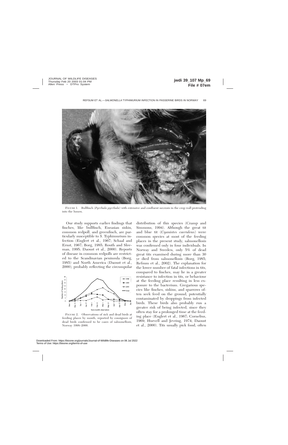

FIGURE 1. Bullfinch (*Pyrrhula pyrrhula*) with extensive and confluent necrosis in the crop wall protruding into the lumen.

Our study supports earlier findings that finches, like bullfinch, Eurasian siskin, common redpoll, and greenfinch, are particularly susceptible to *S.* Typhimurium infection (Englert et al., 1967; Schaal and Ernst, 1967; Borg, 1985; Routh and Sleeman, 1995; Daoust et al., 2000). Reports of disease in common redpolls are restricted to the Scandinavian peninsula (Borg, 1985) and North America (Daoust et al., 2000), probably reflecting the circumpolar



FIGURE 2. Observations of sick and dead birds at feeding places by month, reported by consignors of dead birds confirmed to be cases of salmonellosis, Norway 1998–2000.

distribution of this species (Cramp and Simmons, 1994). Although the great tit and blue tit (*Cyanistes caeruleus*) were common species at most of the feeding places in the present study, salmonellosis was confirmed only in four individuals. In Norway and Sweden, only 5% of dead great tits examined during more than 30 yr died from salmonellosis (Borg, 1985; Refsum et al., 2002). The explanation for the lower number of fatal infections in tits, compared to finches, may lie in a greater resistance to infection in tits, or behaviour at the feeding place resulting in less exposure to the bacterium. Gregarious species like finches, siskins, and sparrows often seek feed on the ground, potentially contaminated by droppings from infected birds. These birds also probably run a greater risk of being infected, since they often stay for a prolonged time at the feeding place (Englert et al., 1967; Cornelius, 1969; Hurvell and Jevring, 1974; Daoust et al., 2000). Tits usually pick food, often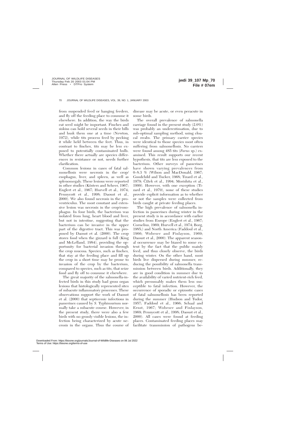from suspended feed or hanging feeders, and fly off the feeding place to consume it elsewhere. In addition, the way the birds eat seed might be important. Finches and siskins can hold several seeds in their bills and husk them one at a time (Newton, 1972), while tits process feed by pecking it while held between the feet. Thus, in contrast to finches, tits may be less exposed to potentially contaminated hulls. Whether there actually are species differences in resistance or not, needs further clarification.

Common lesions in cases of fatal salmonellosis were necrosis in the crop/ esophagus, liver, and spleen, as well as splenomegaly. These lesions were reported in other studies (Kösters and Scheer, 1967; Englert et al., 1967; Hurvell et al., 1974; Pennycott et al., 1998; Daoust et al., 2000). We also found necrosis in the proventriculus. The most constant and extensive lesion was necrosis in the crop/eosophagus. In four birds, the bacterium was isolated from lung, heart blood and liver, but not in intestine, suggesting that the bacterium can be invasive in the upper part of the digestive tract. This was proposed by Daoust et al. (2000). The crop stores food when the gizzard is full (King and McLelland, 1984), providing the opportunity for bacterial invasion through the crop mucosa. Species, such as finches, that stay at the feeding place and fill up the crop in a short time may be prone to invasion of the crop by the bacterium, compared to species, such as tits, that seize food and fly off to consume it elsewhere.

The great majority of the salmonella-infected birds in this study had gross organ lesions that histologically represented sites of subacute inflammatory processes. These observations support the work of Daoust et al. (2000) that septicemic infections in passerines caused by *S.* Typhimurium normally take a subacute course. However, in the present study, there were also a few birds with no grossly visible lesions, the infection being characterized by acute necrosis in the organs. Thus the course of disease may be acute, or even peracute in some birds.

The overall prevalence of salmonella carriage found in the present study (2.0%) was probably an underestimation, due to sub-optimal sampling method, using cloacal swabs. The primary carrier species were identical to those species most often suffering from salmonellosis. No carriers were found among 485 tits (*Parus* sp.) examined. This result supports our recent hypothesis, that tits are less exposed to the bacterium. Other surveys of passerines have shown varying prevalences from 0–8.3 % (Wilson and MacDonald, 1967; Goodchild and Tucker, 1968; Tizard et al., 1979; Čížek et al., 1994; Morishita et al., 1999). However, with one exception (Tizard et al., 1979), none of these studies provide explicit information as to whether or not the samples were collected from birds caught at private feeding places.

The high prevalence of salmonella infection in passerines during winter in the present study is in accordance with earlier studies from Europe (Englert et al., 1967; Cornelius, 1969; Hurvell et al., 1974; Borg, 1985;) and North America (Faddoul et al., 1966; Wobeser and Finlayson, 1969; Daoust et al., 2000). The apparent seasonal occurrence may be biased to some extent by the fact that the public mainly feed, and thus closely observe, the birds during winter. On the other hand, most birds live dispersed during summer, reducing the possibility of salmonella transmission between birds. Additionally, they are in good condition in summer due to the availability of varied nutrient-rich feed, which presumably makes them less susceptible to fatal infection. However, the occurrence of sporadic or epizootic cases of fatal salmonellosis has been reported during the summer (Hudson and Tudor, 1957; Faddoul et al., 1966; Schaal and Ernst, 1967; Wobeser and Finlayson, 1969; Pennycott et al., 1998; Daoust et al., 2000). All cases were found at feeding places. Contaminated feeding places may facilitate transmission of pathogens be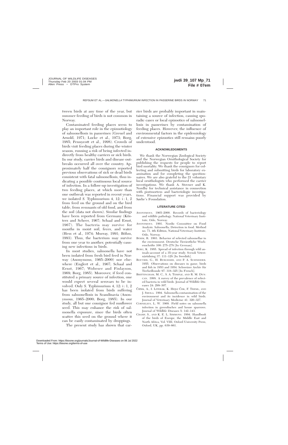tween birds at any time of the year, but summer feeding of birds is not common in Norway.

Contaminated feeding places seem to play an important role in the epizootiology of salmonellosis in passerines (Greuel and Arnold, 1971; Locke et al., 1973; Borg, 1985; Pennycott et al., 1998). Crowds of birds visit feeding places during the winter season, running a risk of being infected indirectly from healthy carriers or sick birds. In our study, carrier birds and disease outbreaks occurred all over the country. Approximately half the consignors reported previous observations of sick or dead birds consistent with fatal salmonellosis, thus indicating a possible continuous local source of infection. In a follow-up investigation of two feeding places, at which more than one outbreak was reported in recent years, we isolated *S*. Typhimurium 4, 12: i: 1, 2 from feed on the ground and on the bird table, from remnants of old food, and from the soil (data not shown). Similar findings have been reported from Germany (Kösters and Scheer, 1967; Schaal and Ernst, 1967). The bacteria may survive for months in moist soil, feces, and water (Hess et al., 1974; Murray, 1991; Böhm, 1993). Thus, the bacterium may survive from one year to another, potentially causing new infections in birds.

In most studies, salmonella have not been isolated from fresh bird feed in Norway (Anonymous, 1965–2000) nor elsewhere (Englert et al., 1967; Schaal and Ernst, 1967; Wobeser and Finlayson, 1969; Borg, 1985). Moreover, if feed constituted a primary source of infection, one would expect several serovars to be involved. Only *S.* Typhimurium 4, 12: i : 1, 2 has been isolated from birds suffering from salmonellosis in Scandinavia (Anonymous, 1965–2000; Borg, 1985). In our study, all but one consignor fed sunflower seed. This may enhance the risk of salmonella exposure, since the birds often scatter this seed on the ground where it can be easily contaminated by droppings.

The present study has shown that car-

rier birds are probably important in maintaining a source of infection, causing sporadic cases or local epizootics of salmonellosis in passerines by contamination of feeding places. However, the influence of environmental factors in the epidemiology of extensive epizootics still remains poorly understood.

# **ACKNOWLEDGMENTS**

We thank the Norwegian Zoological Society and the Norwegian Ornithological Society for publishing the requests for people to report bird mortality. We thank the consignors for collecting and submitting birds for laboratory examination and for completing the questionnaires. We are also grateful to the 21 voluntary local ornithologists who performed the carrier investigations. We thank A. Stovner and K. Nordby for technical assistance in connection with postmortem and bacteriologic investigations. Financial support was provided by Sørlie's Foundation.

# **LITERATURE CITED**

- ANONYMOUS. 1965–2000. Records of bacteriology and wildlife pathology. National Veterinary Institute, Oslo, Norway.
- ANONYMOUS. 1991. Nordic Committee on Food Analysis. Salmonella; Detection in food. Method no. 71, 4th Edition, National Veterinary Institute, Oslo, Norway.
- BÖHM, R. 1993. Behavior of selected salmonellae in the environment. Deutsche Tierärztliche Wochenschrifte 100: 275–278 [In German].
- BORG, K. 1985. Spread of infection through wild animals-account of a 35-year study. Svensk Veterinärtidning 37: 111–128 [In Swedish].
- BOUVIER, G., H. BURGISSER, AND P. A. SCHNEIDER. 1955. Observations on diseases in game, birds and fish in 1953 and 1954. Schweizer Archiv für Tierheilkunde 97: 318–325 [In French].
- BRITTINGHAM, M. C., S. A. TEMPLE, AND R. M. DUN-CAN. 1988. A survey of the prevalence of selected bacteria in wild birds. Journal of Wildlife Diseases 24: 299–307.
- Čížek, A., I. Literák, K. Hejlí Ček, F. Treml, and J. SMOLA. 1994. Salmonella contamination of the environment and its incidence in wild birds. Journal of Veterinary Medicine 41: 320–327.
- CORNELIUS, L. W. 1969. Field notes on salmonella infection in greenfinches and house sparrows. Journal of Wildlife Diseases 5: 142–143.
- CRAMP, S., AND K. E. L. SIMMONS. 1994. Handbook of the birds of Europe, the Middle East and North Africa, Vol. VIII, Oxford University Press, Oxford, UK, pp. 639–661.